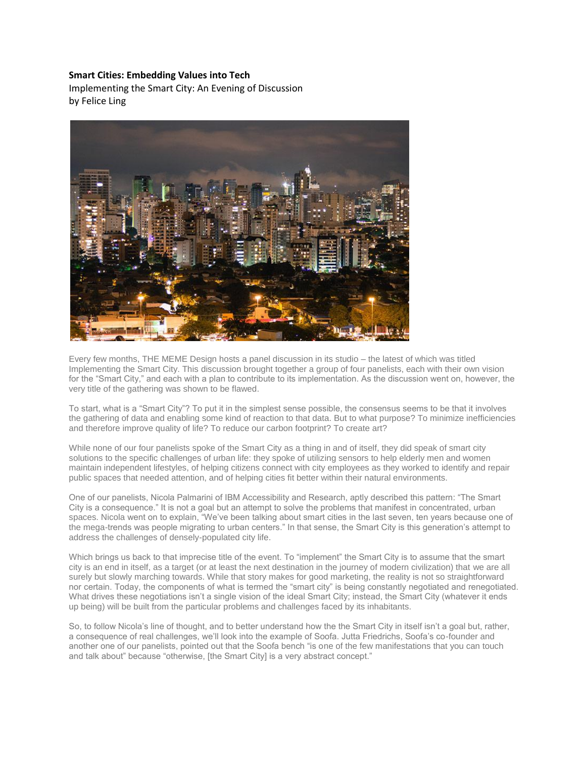#### **Smart Cities: Embedding Values into Tech**

Implementing the Smart City: An Evening of Discussion by Felice Ling



Every few months, THE MEME Design hosts a panel discussion in its studio – the latest of which was titled Implementing the Smart City. This discussion brought together a group of four panelists, each with their own vision for the "Smart City," and each with a plan to contribute to its implementation. As the discussion went on, however, the very title of the gathering was shown to be flawed.

To start, what is a "Smart City"? To put it in the simplest sense possible, the consensus seems to be that it involves the gathering of data and enabling some kind of reaction to that data. But to what purpose? To minimize inefficiencies and therefore improve quality of life? To reduce our carbon footprint? To create art?

While none of our four panelists spoke of the Smart City as a thing in and of itself, they did speak of smart city solutions to the specific challenges of urban life: they spoke of utilizing sensors to help elderly men and women maintain independent lifestyles, of helping citizens connect with city employees as they worked to identify and repair public spaces that needed attention, and of helping cities fit better within their natural environments.

One of our panelists, Nicola Palmarini of IBM Accessibility and Research, aptly described this pattern: "The Smart City is a consequence." It is not a goal but an attempt to solve the problems that manifest in concentrated, urban spaces. Nicola went on to explain, "We've been talking about smart cities in the last seven, ten years because one of the mega-trends was people migrating to urban centers." In that sense, the Smart City is this generation's attempt to address the challenges of densely-populated city life.

Which brings us back to that imprecise title of the event. To "implement" the Smart City is to assume that the smart city is an end in itself, as a target (or at least the next destination in the journey of modern civilization) that we are all surely but slowly marching towards. While that story makes for good marketing, the reality is not so straightforward nor certain. Today, the components of what is termed the "smart city" is being constantly negotiated and renegotiated. What drives these negotiations isn't a single vision of the ideal Smart City; instead, the Smart City (whatever it ends up being) will be built from the particular problems and challenges faced by its inhabitants.

So, to follow Nicola's line of thought, and to better understand how the the Smart City in itself isn't a goal but, rather, a consequence of real challenges, we'll look into the example of Soofa. Jutta Friedrichs, Soofa's co-founder and another one of our panelists, pointed out that the Soofa bench "is one of the few manifestations that you can touch and talk about" because "otherwise, [the Smart City] is a very abstract concept."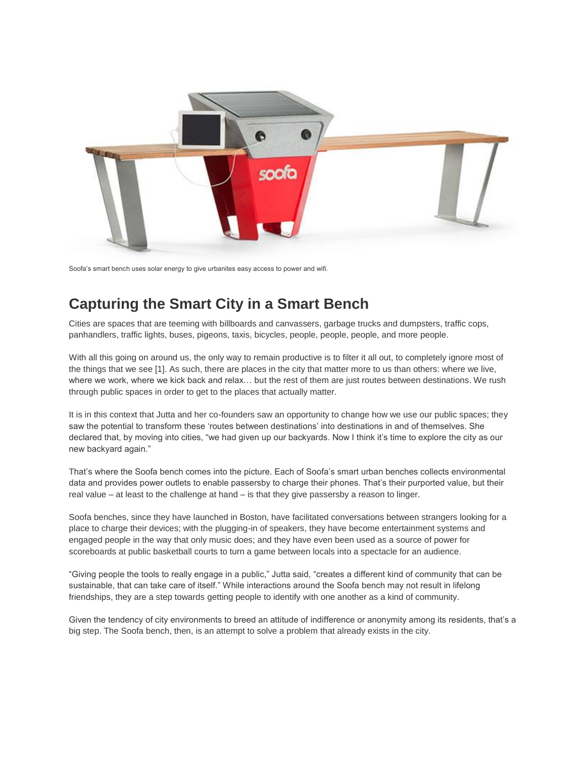

Soofa's smart bench uses solar energy to give urbanites easy access to power and wifi.

# **Capturing the Smart City in a Smart Bench**

Cities are spaces that are teeming with billboards and canvassers, garbage trucks and dumpsters, traffic cops, panhandlers, traffic lights, buses, pigeons, taxis, bicycles, people, people, people, and more people.

With all this going on around us, the only way to remain productive is to filter it all out, to completely ignore most of the things that we see [1]. As such, there are places in the city that matter more to us than others: where we live, where we work, where we kick back and relax… but the rest of them are just routes between destinations. We rush through public spaces in order to get to the places that actually matter.

It is in this context that Jutta and her co-founders saw an opportunity to change how we use our public spaces; they saw the potential to transform these 'routes between destinations' into destinations in and of themselves. She declared that, by moving into cities, "we had given up our backyards. Now I think it's time to explore the city as our new backyard again."

That's where the Soofa bench comes into the picture. Each of Soofa's smart urban benches collects environmental data and provides power outlets to enable passersby to charge their phones. That's their purported value, but their real value – at least to the challenge at hand – is that they give passersby a reason to linger.

Soofa benches, since they have launched in Boston, have facilitated conversations between strangers looking for a place to charge their devices; with the plugging-in of speakers, they have become entertainment systems and engaged people in the way that only music does; and they have even been used as a source of power for scoreboards at public basketball courts to turn a game between locals into a spectacle for an audience.

"Giving people the tools to really engage in a public," Jutta said, "creates a different kind of community that can be sustainable, that can take care of itself." While interactions around the Soofa bench may not result in lifelong friendships, they are a step towards getting people to identify with one another as a kind of community.

Given the tendency of city environments to breed an attitude of indifference or anonymity among its residents, that's a big step. The Soofa bench, then, is an attempt to solve a problem that already exists in the city.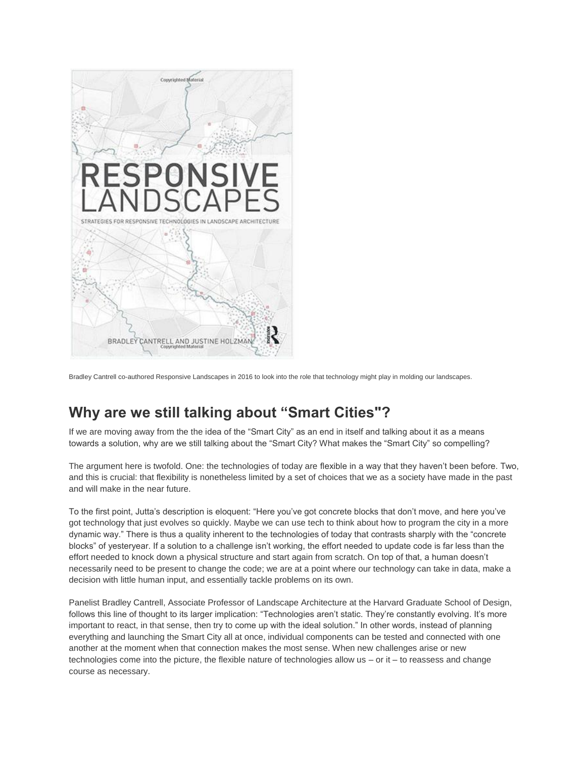

Bradley Cantrell co-authored Responsive Landscapes in 2016 to look into the role that technology might play in molding our landscapes.

# **Why are we still talking about "Smart Cities"?**

If we are moving away from the the idea of the "Smart City" as an end in itself and talking about it as a means towards a solution, why are we still talking about the "Smart City? What makes the "Smart City" so compelling?

The argument here is twofold. One: the technologies of today are flexible in a way that they haven't been before. Two, and this is crucial: that flexibility is nonetheless limited by a set of choices that we as a society have made in the past and will make in the near future.

To the first point, Jutta's description is eloquent: "Here you've got concrete blocks that don't move, and here you've got technology that just evolves so quickly. Maybe we can use tech to think about how to program the city in a more dynamic way." There is thus a quality inherent to the technologies of today that contrasts sharply with the "concrete blocks" of yesteryear. If a solution to a challenge isn't working, the effort needed to update code is far less than the effort needed to knock down a physical structure and start again from scratch. On top of that, a human doesn't necessarily need to be present to change the code; we are at a point where our technology can take in data, make a decision with little human input, and essentially tackle problems on its own.

Panelist Bradley Cantrell, Associate Professor of Landscape Architecture at the Harvard Graduate School of Design, follows this line of thought to its larger implication: "Technologies aren't static. They're constantly evolving. It's more important to react, in that sense, then try to come up with the ideal solution." In other words, instead of planning everything and launching the Smart City all at once, individual components can be tested and connected with one another at the moment when that connection makes the most sense. When new challenges arise or new technologies come into the picture, the flexible nature of technologies allow us – or it – to reassess and change course as necessary.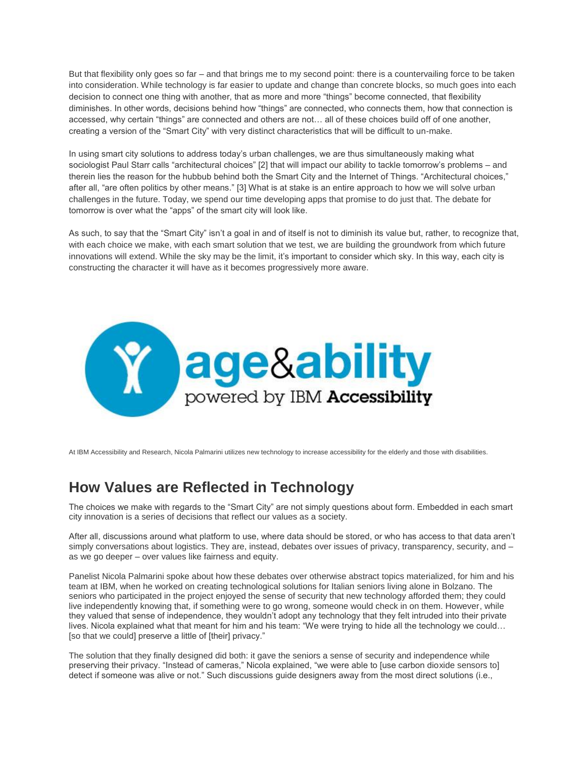But that flexibility only goes so far – and that brings me to my second point: there is a countervailing force to be taken into consideration. While technology is far easier to update and change than concrete blocks, so much goes into each decision to connect one thing with another, that as more and more "things" become connected, that flexibility diminishes. In other words, decisions behind how "things" are connected, who connects them, how that connection is accessed, why certain "things" are connected and others are not… all of these choices build off of one another, creating a version of the "Smart City" with very distinct characteristics that will be difficult to un-make.

In using smart city solutions to address today's urban challenges, we are thus simultaneously making what sociologist Paul Starr calls "architectural choices" [2] that will impact our ability to tackle tomorrow's problems – and therein lies the reason for the hubbub behind both the Smart City and the Internet of Things. "Architectural choices," after all, "are often politics by other means." [3] What is at stake is an entire approach to how we will solve urban challenges in the future. Today, we spend our time developing apps that promise to do just that. The debate for tomorrow is over what the "apps" of the smart city will look like.

As such, to say that the "Smart City" isn't a goal in and of itself is not to diminish its value but, rather, to recognize that, with each choice we make, with each smart solution that we test, we are building the groundwork from which future innovations will extend. While the sky may be the limit, it's important to consider which sky. In this way, each city is constructing the character it will have as it becomes progressively more aware.



At IBM Accessibility and Research, Nicola Palmarini utilizes new technology to increase accessibility for the elderly and those with disabilities.

# **How Values are Reflected in Technology**

The choices we make with regards to the "Smart City" are not simply questions about form. Embedded in each smart city innovation is a series of decisions that reflect our values as a society.

After all, discussions around what platform to use, where data should be stored, or who has access to that data aren't simply conversations about logistics. They are, instead, debates over issues of privacy, transparency, security, and as we go deeper – over values like fairness and equity.

Panelist Nicola Palmarini spoke about how these debates over otherwise abstract topics materialized, for him and his team at IBM, when he worked on creating technological solutions for Italian seniors living alone in Bolzano. The seniors who participated in the project enjoyed the sense of security that new technology afforded them; they could live independently knowing that, if something were to go wrong, someone would check in on them. However, while they valued that sense of independence, they wouldn't adopt any technology that they felt intruded into their private lives. Nicola explained what that meant for him and his team: "We were trying to hide all the technology we could… [so that we could] preserve a little of [their] privacy."

The solution that they finally designed did both: it gave the seniors a sense of security and independence while preserving their privacy. "Instead of cameras," Nicola explained, "we were able to [use carbon dioxide sensors to] detect if someone was alive or not." Such discussions guide designers away from the most direct solutions (i.e.,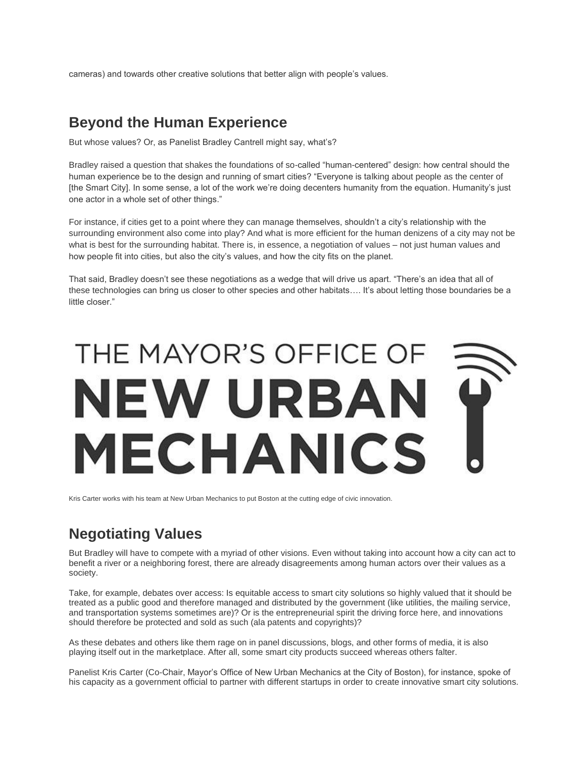cameras) and towards other creative solutions that better align with people's values.

### **Beyond the Human Experience**

But whose values? Or, as Panelist Bradley Cantrell might say, what's?

Bradley raised a question that shakes the foundations of so-called "human-centered" design: how central should the human experience be to the design and running of smart cities? "Everyone is talking about people as the center of [the Smart City]. In some sense, a lot of the work we're doing decenters humanity from the equation. Humanity's just one actor in a whole set of other things."

For instance, if cities get to a point where they can manage themselves, shouldn't a city's relationship with the surrounding environment also come into play? And what is more efficient for the human denizens of a city may not be what is best for the surrounding habitat. There is, in essence, a negotiation of values – not just human values and how people fit into cities, but also the city's values, and how the city fits on the planet.

That said, Bradley doesn't see these negotiations as a wedge that will drive us apart. "There's an idea that all of these technologies can bring us closer to other species and other habitats…. It's about letting those boundaries be a little closer."

# THE MAYOR'S OFFICE OF NEW URBAN **MECHANICS**

Kris Carter works with his team at New Urban Mechanics to put Boston at the cutting edge of civic innovation.

# **Negotiating Values**

But Bradley will have to compete with a myriad of other visions. Even without taking into account how a city can act to benefit a river or a neighboring forest, there are already disagreements among human actors over their values as a society.

Take, for example, debates over access: Is equitable access to smart city solutions so highly valued that it should be treated as a public good and therefore managed and distributed by the government (like utilities, the mailing service, and transportation systems sometimes are)? Or is the entrepreneurial spirit the driving force here, and innovations should therefore be protected and sold as such (ala patents and copyrights)?

As these debates and others like them rage on in panel discussions, blogs, and other forms of media, it is also playing itself out in the marketplace. After all, some smart city products succeed whereas others falter.

Panelist Kris Carter (Co-Chair, Mayor's Office of New Urban Mechanics at the City of Boston), for instance, spoke of his capacity as a government official to partner with different startups in order to create innovative smart city solutions.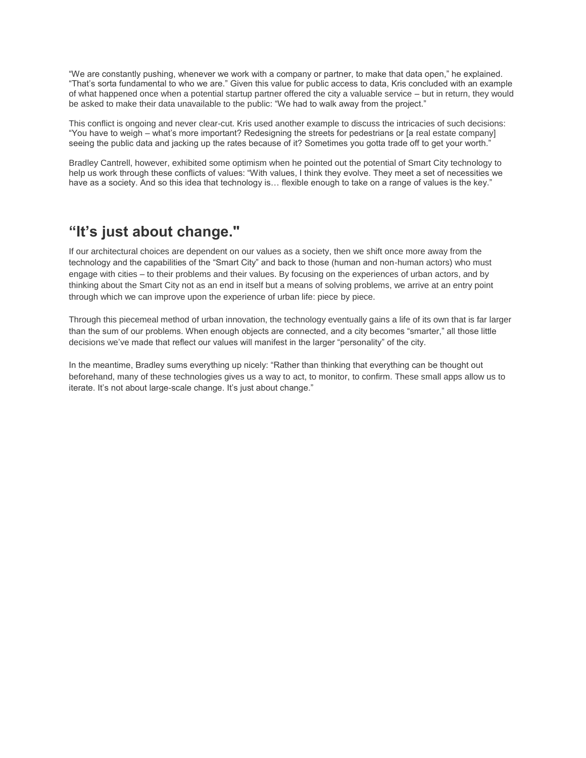"We are constantly pushing, whenever we work with a company or partner, to make that data open," he explained. "That's sorta fundamental to who we are." Given this value for public access to data, Kris concluded with an example of what happened once when a potential startup partner offered the city a valuable service – but in return, they would be asked to make their data unavailable to the public: "We had to walk away from the project."

This conflict is ongoing and never clear-cut. Kris used another example to discuss the intricacies of such decisions: "You have to weigh – what's more important? Redesigning the streets for pedestrians or [a real estate company] seeing the public data and jacking up the rates because of it? Sometimes you gotta trade off to get your worth."

Bradley Cantrell, however, exhibited some optimism when he pointed out the potential of Smart City technology to help us work through these conflicts of values: "With values, I think they evolve. They meet a set of necessities we have as a society. And so this idea that technology is... flexible enough to take on a range of values is the key."

## **"It's just about change."**

If our architectural choices are dependent on our values as a society, then we shift once more away from the technology and the capabilities of the "Smart City" and back to those (human and non-human actors) who must engage with cities – to their problems and their values. By focusing on the experiences of urban actors, and by thinking about the Smart City not as an end in itself but a means of solving problems, we arrive at an entry point through which we can improve upon the experience of urban life: piece by piece.

Through this piecemeal method of urban innovation, the technology eventually gains a life of its own that is far larger than the sum of our problems. When enough objects are connected, and a city becomes "smarter," all those little decisions we've made that reflect our values will manifest in the larger "personality" of the city.

In the meantime, Bradley sums everything up nicely: "Rather than thinking that everything can be thought out beforehand, many of these technologies gives us a way to act, to monitor, to confirm. These small apps allow us to iterate. It's not about large-scale change. It's just about change."